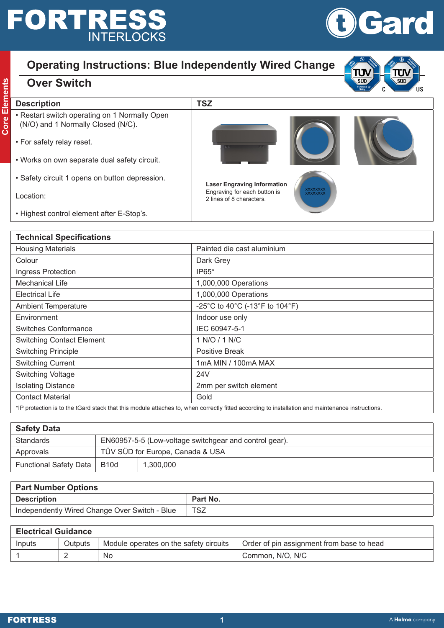## **FORTRESS INTERLOCKS**



## **Operating Instructions: Blue Independently Wired Change**

- **Core Switch Selection Description TSZ**<br> **Confidence TSZ**<br> **Core Election Core Alternation Core Alternation Core Alternation Core (N/C).**<br> **Core Alternation Core Alternation Core Alternation Core Alternation Core Alternati** • Restart switch operating on 1 Normally Open (N/O) and 1 Normally Closed (N/C).
	- For safety relay reset.

**Over Switch**

- Works on own separate dual safety circuit.
- Safety circuit 1 opens on button depression.

Location:

• Highest control element after E-Stop's.

| <b>Technical Specifications</b>                                                                                                                |                                |  |  |  |
|------------------------------------------------------------------------------------------------------------------------------------------------|--------------------------------|--|--|--|
| <b>Housing Materials</b>                                                                                                                       | Painted die cast aluminium     |  |  |  |
| Colour                                                                                                                                         | Dark Grey                      |  |  |  |
| Ingress Protection                                                                                                                             | IP65*                          |  |  |  |
| <b>Mechanical Life</b>                                                                                                                         | 1,000,000 Operations           |  |  |  |
| Electrical Life                                                                                                                                | 1,000,000 Operations           |  |  |  |
| <b>Ambient Temperature</b>                                                                                                                     | -25°C to 40°C (-13°F to 104°F) |  |  |  |
| Environment                                                                                                                                    | Indoor use only                |  |  |  |
| <b>Switches Conformance</b>                                                                                                                    | IEC 60947-5-1                  |  |  |  |
| <b>Switching Contact Element</b>                                                                                                               | 1 N/O / 1 N/C                  |  |  |  |
| <b>Switching Principle</b>                                                                                                                     | <b>Positive Break</b>          |  |  |  |
| <b>Switching Current</b>                                                                                                                       | 1mA MIN / 100mA MAX            |  |  |  |
| <b>Switching Voltage</b>                                                                                                                       | 24V                            |  |  |  |
| <b>Isolating Distance</b>                                                                                                                      | 2mm per switch element         |  |  |  |
| <b>Contact Material</b>                                                                                                                        | Gold                           |  |  |  |
| *ID protection is to the tCard stack that this module attaches to when correctly fitted according to installation and maintenance instructions |                                |  |  |  |

**Laser Engraving Information** Engraving for each button is 2 lines of 8 characters.

\*IP protection is to the tGard stack that this module attaches to, when correctly fitted according to installation and maintenance instructions.

| <b>Safety Data</b>     |                                                        |           |  |  |
|------------------------|--------------------------------------------------------|-----------|--|--|
| Standards              | EN60957-5-5 (Low-voltage switchgear and control gear). |           |  |  |
| Approvals              | TÜV SÜD for Europe, Canada & USA                       |           |  |  |
| Functional Safety Data | <b>B10d</b>                                            | 1.300.000 |  |  |

| <b>Part Number Options</b>                    |            |  |  |  |
|-----------------------------------------------|------------|--|--|--|
| <b>Description</b>                            | Part No.   |  |  |  |
| Independently Wired Change Over Switch - Blue | <b>TSZ</b> |  |  |  |

| <b>Electrical Guidance</b> |                |                                        |                                           |  |
|----------------------------|----------------|----------------------------------------|-------------------------------------------|--|
| Inputs                     | <b>Outputs</b> | Module operates on the safety circuits | Order of pin assignment from base to head |  |
|                            |                | No                                     | Common, N/O, N/C                          |  |